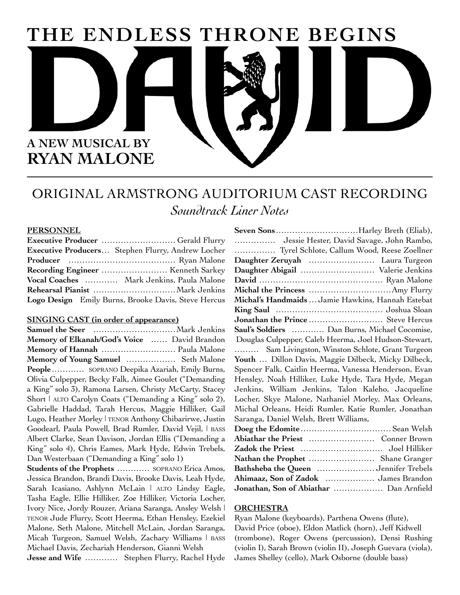# THE ENDLESS THRONE BEGINS



## ORIGINAL ARMSTRONG AUDITORIUM CAST RECORDING Soundtrack Liner Notes

#### **PERSONNEL**

| Executive Producers Stephen Flurry, Andrew Locher   |
|-----------------------------------------------------|
|                                                     |
|                                                     |
| Vocal Coaches  Mark Jenkins, Paula Malone           |
|                                                     |
| Logo Design Emily Burns, Brooke Davis, Steve Hercus |

#### **SINGING CAST (in order of appearance)**

Memory of Elkanah/God's Voice ...... David Brandon Memory of Hannah ............................. Paula Malone Memory of Young Samuel .................. Seth Malone People ........... SOPRANO Deepika Azariah, Emily Burns, Olivia Culpepper, Becky Falk, Aimee Goulet ("Demanding a King" solo 3), Ramona Larsen, Christy McCarty, Stacey Short | ALTO Carolyn Coats ("Demanding a King" solo 2), Gabrielle Haddad, Tarah Hercus, Maggie Hilliker, Gail Lugo, Heather Morley | TENOR Anthony Chibarirwe, Justin Goodearl, Paula Powell, Brad Rumler, David Vejil, I BASS Albert Clarke, Sean Davison, Jordan Ellis ("Demanding a King" solo 4), Chris Eames, Mark Hyde, Edwin Trebels, Dan Westerbaan ("Demanding a King" solo 1)

Students of the Prophets ............ SOPRANO Erica Amos, Jessica Brandon, Brandi Davis, Brooke Davis, Leah Hyde, Sarah Icasiano, Ashlynn McLain | ALTO Lindsy Eagle, Tasha Eagle, Ellie Hilliker, Zoe Hilliker, Victoria Locher, Ivory Nice, Jordy Rouzer, Ariana Saranga, Ansley Welsh | TENOR Jude Flurry, Scott Heerma, Ethan Hensley, Ezekiel Malone, Seth Malone, Mitchell McLain, Jordan Saranga, Micah Turgeon, Samuel Welsh, Zachary Williams | BASS Michael Davis, Zechariah Henderson, Gianni Welsh

Jesse and Wife ............ Stephen Flurry, Rachel Hyde

| Seven SonsHarley Breth (Eliab),                       |  |
|-------------------------------------------------------|--|
| Jessie Hester, David Savage, John Rambo,              |  |
| Tyrel Schlote, Callum Wood, Reese Zoellner            |  |
| Daughter Zeruyah  Laura Turgeon                       |  |
| Daughter Abigail  Valerie Jenkins                     |  |
|                                                       |  |
|                                                       |  |
| Michal's Handmaids  Jamie Hawkins, Hannah Estebat     |  |
|                                                       |  |
|                                                       |  |
| Saul's Soldiers  Dan Burns, Michael Cocomise,         |  |
| Douglas Culpepper, Caleb Heerma, Joel Hudson-Stewart, |  |
| Sam Livingston, Winston Schlote, Grant Turgeon        |  |
| Youth  Dillon Davis, Maggie Dilbeck, Micky Dilbeck,   |  |
| Spencer Falk, Caitlin Heerma, Vanessa Henderson, Evan |  |
| Hensley, Noah Hilliker, Luke Hyde, Tara Hyde, Megan   |  |
| Jenkins, William Jenkins, Talon Kaleho, Jacqueline    |  |
| Locher, Skye Malone, Nathaniel Morley, Max Orleans,   |  |
| Michal Orleans, Heidi Rumler, Katie Rumler, Jonathan  |  |
| Saranga, Daniel Welsh, Brett Williams,                |  |
| Doeg the Edomite Sean Welsh                           |  |
|                                                       |  |
|                                                       |  |
| Nathan the Prophet  Shane Granger                     |  |
| Bathsheba the Queen  Jennifer Trebels                 |  |
| Ahimaaz, Son of Zadok  James Brandon                  |  |
| Jonathan, Son of Abiathar  Dan Arnfield               |  |

#### **ORCHESTRA**

Ryan Malone (keyboards), Parthena Owens (flute), David Price (oboe), Eldon Matlick (horn), Jeff Kidwell (trombone), Roger Owens (percussion), Densi Rushing (violin I), Sarah Brown (violin II), Joseph Guevara (viola), James Shelley (cello), Mark Osborne (double bass)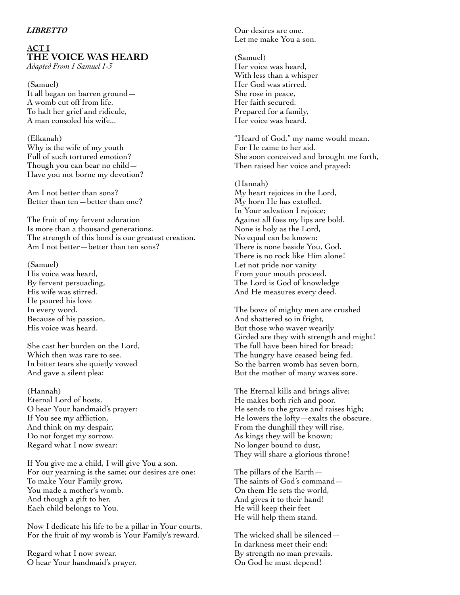#### *LIBRETTO*

## **ACT I THE VOICE WAS HEARD**

*Adapted From 1 Samuel 1-3*

(Samuel) It all began on barren ground— A womb cut off from life. To halt her grief and ridicule, A man consoled his wife...

(Elkanah) Why is the wife of my youth Full of such tortured emotion? Though you can bear no child— Have you not borne my devotion?

Am I not better than sons? Better than ten—better than one?

The fruit of my fervent adoration Is more than a thousand generations. The strength of this bond is our greatest creation. Am I not better—better than ten sons?

(Samuel)

His voice was heard, By fervent persuading, His wife was stirred. He poured his love In every word. Because of his passion, His voice was heard.

She cast her burden on the Lord, Which then was rare to see. In bitter tears she quietly vowed And gave a silent plea:

(Hannah) Eternal Lord of hosts, O hear Your handmaid's prayer: If You see my affliction, And think on my despair, Do not forget my sorrow. Regard what I now swear:

If You give me a child, I will give You a son. For our yearning is the same; our desires are one: To make Your Family grow, You made a mother's womb. And though a gift to her, Each child belongs to You.

Now I dedicate his life to be a pillar in Your courts. For the fruit of my womb is Your Family's reward.

Regard what I now swear. O hear Your handmaid's prayer. Our desires are one. Let me make You a son.

(Samuel) Her voice was heard, With less than a whisper Her God was stirred. She rose in peace, Her faith secured. Prepared for a family, Her voice was heard.

"Heard of God," my name would mean. For He came to her aid. She soon conceived and brought me forth, Then raised her voice and prayed:

(Hannah) My heart rejoices in the Lord, My horn He has extolled. In Your salvation I rejoice; Against all foes my lips are bold. None is holy as the Lord, No equal can be known: There is none beside You, God. There is no rock like Him alone! Let not pride nor vanity From your mouth proceed. The Lord is God of knowledge And He measures every deed.

The bows of mighty men are crushed And shattered so in fright, But those who waver wearily Girded are they with strength and might! The full have been hired for bread; The hungry have ceased being fed. So the barren womb has seven born, But the mother of many waxes sore.

The Eternal kills and brings alive; He makes both rich and poor. He sends to the grave and raises high; He lowers the lofty—exalts the obscure. From the dunghill they will rise, As kings they will be known; No longer bound to dust, They will share a glorious throne!

The pillars of the Earth— The saints of God's command— On them He sets the world, And gives it to their hand! He will keep their feet He will help them stand.

The wicked shall be silenced— In darkness meet their end: By strength no man prevails. On God he must depend!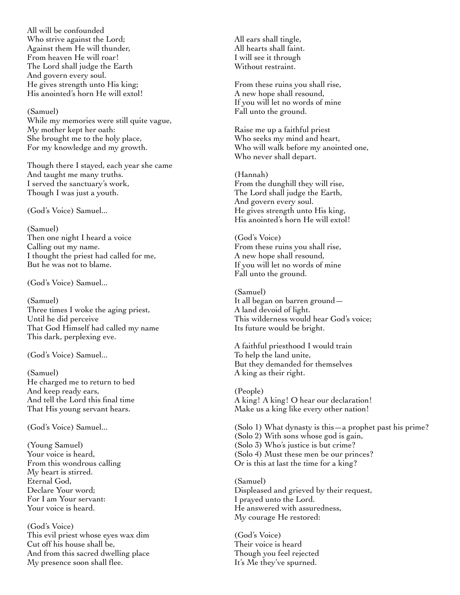All will be confounded Who strive against the Lord; Against them He will thunder, From heaven He will roar! The Lord shall judge the Earth And govern every soul. He gives strength unto His king; His anointed's horn He will extol!

(Samuel)

While my memories were still quite vague, My mother kept her oath: She brought me to the holy place, For my knowledge and my growth.

Though there I stayed, each year she came And taught me many truths. I served the sanctuary's work, Though I was just a youth.

(God's Voice) Samuel...

(Samuel) Then one night I heard a voice Calling out my name. I thought the priest had called for me, But he was not to blame.

(God's Voice) Samuel...

(Samuel) Three times I woke the aging priest, Until he did perceive That God Himself had called my name This dark, perplexing eve.

(God's Voice) Samuel...

(Samuel) He charged me to return to bed And keep ready ears, And tell the Lord this final time That His young servant hears.

(God's Voice) Samuel...

(Young Samuel) Your voice is heard, From this wondrous calling My heart is stirred. Eternal God, Declare Your word; For I am Your servant: Your voice is heard.

(God's Voice) This evil priest whose eyes wax dim Cut off his house shall be, And from this sacred dwelling place My presence soon shall flee.

All ears shall tingle, All hearts shall faint. I will see it through Without restraint.

From these ruins you shall rise, A new hope shall resound, If you will let no words of mine Fall unto the ground.

Raise me up a faithful priest Who seeks my mind and heart, Who will walk before my anointed one, Who never shall depart.

(Hannah) From the dunghill they will rise, The Lord shall judge the Earth, And govern every soul. He gives strength unto His king, His anointed's horn He will extol!

(God's Voice) From these ruins you shall rise, A new hope shall resound, If you will let no words of mine Fall unto the ground.

(Samuel) It all began on barren ground— A land devoid of light. This wilderness would hear God's voice; Its future would be bright.

A faithful priesthood I would train To help the land unite, But they demanded for themselves A king as their right.

(People) A king! A king! O hear our declaration! Make us a king like every other nation!

(Solo 1) What dynasty is this—a prophet past his prime? (Solo 2) With sons whose god is gain, (Solo 3) Who's justice is but crime? (Solo 4) Must these men be our princes? Or is this at last the time for a king?

(Samuel) Displeased and grieved by their request, I prayed unto the Lord. He answered with assuredness, My courage He restored:

(God's Voice) Their voice is heard Though you feel rejected It's Me they've spurned.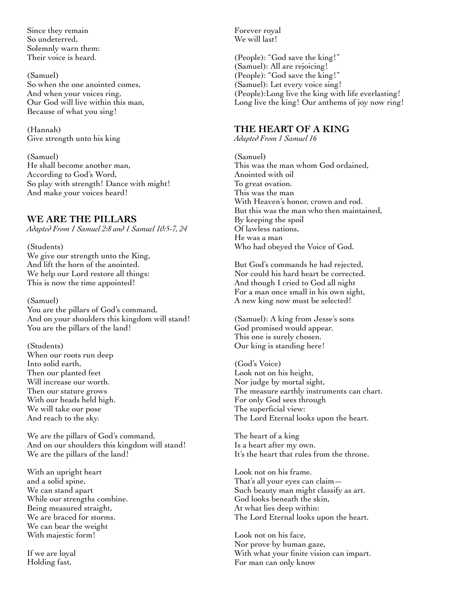Since they remain So undeterred, Solemnly warn them: Their voice is heard.

(Samuel) So when the one anointed comes, And when your voices ring, Our God will live within this man, Because of what you sing!

(Hannah) Give strength unto his king

(Samuel) He shall become another man, According to God's Word, So play with strength! Dance with might! And make your voices heard!

## **WE ARE THE PILLARS**

*Adapted From 1 Samuel 2:8 and 1 Samuel 10:5-7, 24*

(Students) We give our strength unto the King, And lift the horn of the anointed. We help our Lord restore all things: This is now the time appointed!

(Samuel) You are the pillars of God's command, And on your shoulders this kingdom will stand! You are the pillars of the land!

(Students) When our roots run deep Into solid earth, Then our planted feet Will increase our worth. Then our stature grows With our heads held high. We will take our pose And reach to the sky.

We are the pillars of God's command, And on our shoulders this kingdom will stand! We are the pillars of the land!

With an upright heart and a solid spine, We can stand apart While our strengths combine. Being measured straight, We are braced for storms. We can bear the weight With majestic form!

If we are loyal Holding fast,

Forever royal We will last!

(People): "God save the king!" (Samuel): All are rejoicing! (People): "God save the king!" (Samuel): Let every voice sing! (People):Long live the king with life everlasting! Long live the king! Our anthems of joy now ring!

## **THE HEART OF A KING**

*Adapted From 1 Samuel 16*

(Samuel) This was the man whom God ordained, Anointed with oil To great ovation. This was the man With Heaven's honor, crown and rod. But this was the man who then maintained, By keeping the spoil Of lawless nations, He was a man Who had obeyed the Voice of God.

But God's commands he had rejected, Nor could his hard heart be corrected. And though I cried to God all night For a man once small in his own sight, A new king now must be selected!

(Samuel): A king from Jesse's sons God promised would appear. This one is surely chosen. Our king is standing here!

(God's Voice) Look not on his height, Nor judge by mortal sight, The measure earthly instruments can chart. For only God sees through The superficial view: The Lord Eternal looks upon the heart.

The heart of a king Is a heart after my own. It's the heart that rules from the throne.

Look not on his frame. That's all your eyes can claim— Such beauty man might classify as art. God looks beneath the skin, At what lies deep within: The Lord Eternal looks upon the heart.

Look not on his face, Nor prove by human gaze, With what your finite vision can impart. For man can only know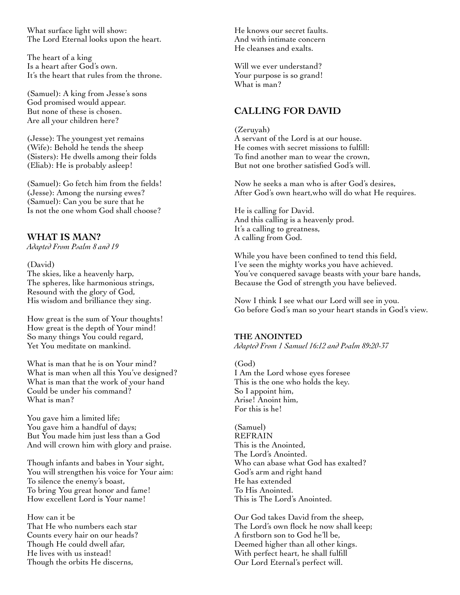What surface light will show: The Lord Eternal looks upon the heart.

The heart of a king Is a heart after God's own. It's the heart that rules from the throne.

(Samuel): A king from Jesse's sons God promised would appear. But none of these is chosen. Are all your children here?

(Jesse): The youngest yet remains (Wife): Behold he tends the sheep (Sisters): He dwells among their folds (Eliab): He is probably asleep!

(Samuel): Go fetch him from the fields! (Jesse): Among the nursing ewes? (Samuel): Can you be sure that he Is not the one whom God shall choose?

## **WHAT IS MAN?**

*Adapted From Psalm 8 and 19*

(David) The skies, like a heavenly harp, The spheres, like harmonious strings, Resound with the glory of God,

His wisdom and brilliance they sing. How great is the sum of Your thoughts! How great is the depth of Your mind! So many things You could regard, Yet You meditate on mankind.

What is man that he is on Your mind? What is man when all this You've designed? What is man that the work of your hand Could be under his command? What is man?

You gave him a limited life; You gave him a handful of days; But You made him just less than a God And will crown him with glory and praise.

Though infants and babes in Your sight, You will strengthen his voice for Your aim: To silence the enemy's boast, To bring You great honor and fame! How excellent Lord is Your name!

How can it be That He who numbers each star Counts every hair on our heads? Though He could dwell afar, He lives with us instead! Though the orbits He discerns,

He knows our secret faults. And with intimate concern He cleanses and exalts.

Will we ever understand? Your purpose is so grand! What is man?

## **CALLING FOR DAVID**

(Zeruyah) A servant of the Lord is at our house. He comes with secret missions to fulfill: To find another man to wear the crown, But not one brother satisfied God's will.

Now he seeks a man who is after God's desires, After God's own heart,who will do what He requires.

He is calling for David. And this calling is a heavenly prod. It's a calling to greatness, A calling from God.

While you have been confined to tend this field, I've seen the mighty works you have achieved. You've conquered savage beasts with your bare hands, Because the God of strength you have believed.

Now I think I see what our Lord will see in you. Go before God's man so your heart stands in God's view.

#### **THE ANOINTED**

*Adapted From 1 Samuel 16:12 and Psalm 89:20-37*

(God) I Am the Lord whose eyes foresee This is the one who holds the key. So I appoint him, Arise! Anoint him, For this is he!

(Samuel) REFRAIN This is the Anointed, The Lord's Anointed. Who can abase what God has exalted? God's arm and right hand He has extended To His Anointed. This is The Lord's Anointed.

Our God takes David from the sheep, The Lord's own flock he now shall keep; A firstborn son to God he'll be, Deemed higher than all other kings. With perfect heart, he shall fulfill Our Lord Eternal's perfect will.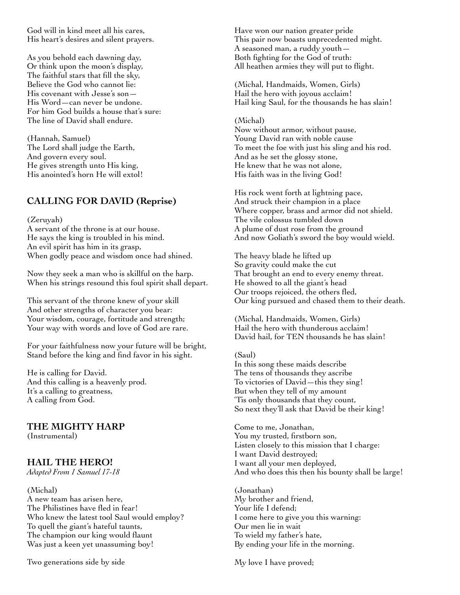God will in kind meet all his cares, His heart's desires and silent prayers.

As you behold each dawning day, Or think upon the moon's display, The faithful stars that fill the sky, Believe the God who cannot lie: His covenant with Jesse's son— His Word—can never be undone. For him God builds a house that's sure: The line of David shall endure.

(Hannah, Samuel) The Lord shall judge the Earth, And govern every soul. He gives strength unto His king, His anointed's horn He will extol!

## **CALLING FOR DAVID (Reprise)**

#### (Zeruyah)

A servant of the throne is at our house. He says the king is troubled in his mind. An evil spirit has him in its grasp, When godly peace and wisdom once had shined.

Now they seek a man who is skillful on the harp. When his strings resound this foul spirit shall depart.

This servant of the throne knew of your skill And other strengths of character you bear: Your wisdom, courage, fortitude and strength; Your way with words and love of God are rare.

For your faithfulness now your future will be bright, Stand before the king and find favor in his sight.

He is calling for David. And this calling is a heavenly prod. It's a calling to greatness, A calling from God.

#### **THE MIGHTY HARP** (Instrumental)

## **HAIL THE HERO!**

*Adapted From 1 Samuel 17-18*

(Michal) A new team has arisen here, The Philistines have fled in fear! Who knew the latest tool Saul would employ? To quell the giant's hateful taunts, The champion our king would flaunt Was just a keen yet unassuming boy!

Two generations side by side

Have won our nation greater pride This pair now boasts unprecedented might. A seasoned man, a ruddy youth— Both fighting for the God of truth: All heathen armies they will put to flight.

(Michal, Handmaids, Women, Girls) Hail the hero with joyous acclaim! Hail king Saul, for the thousands he has slain!

#### (Michal)

Now without armor, without pause, Young David ran with noble cause To meet the foe with just his sling and his rod. And as he set the glossy stone, He knew that he was not alone, His faith was in the living God!

His rock went forth at lightning pace, And struck their champion in a place Where copper, brass and armor did not shield. The vile colossus tumbled down A plume of dust rose from the ground And now Goliath's sword the boy would wield.

The heavy blade he lifted up So gravity could make the cut That brought an end to every enemy threat. He showed to all the giant's head Our troops rejoiced, the others fled, Our king pursued and chased them to their death.

(Michal, Handmaids, Women, Girls) Hail the hero with thunderous acclaim! David hail, for TEN thousands he has slain!

(Saul) In this song these maids describe The tens of thousands they ascribe To victories of David—this they sing! But when they tell of my amount 'Tis only thousands that they count, So next they'll ask that David be their king!

Come to me, Jonathan, You my trusted, firstborn son, Listen closely to this mission that I charge: I want David destroyed; I want all your men deployed, And who does this then his bounty shall be large!

(Jonathan) My brother and friend, Your life I defend; I come here to give you this warning: Our men lie in wait To wield my father's hate, By ending your life in the morning.

My love I have proved;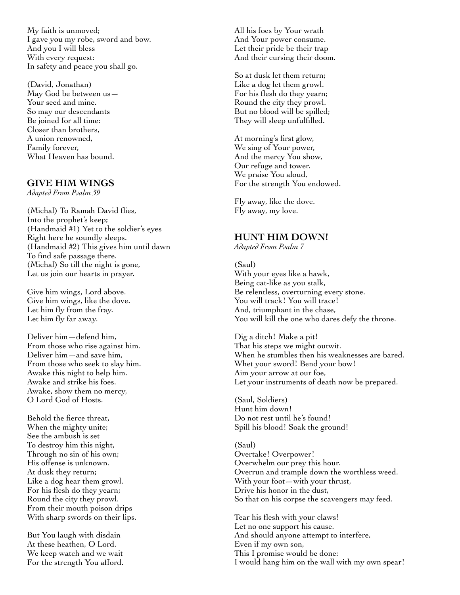My faith is unmoved; I gave you my robe, sword and bow. And you I will bless With every request: In safety and peace you shall go.

(David, Jonathan) May God be between us— Your seed and mine. So may our descendants Be joined for all time: Closer than brothers, A union renowned, Family forever, What Heaven has bound.

## **GIVE HIM WINGS**

*Adapted From Psalm 59*

(Michal) To Ramah David flies, Into the prophet's keep; (Handmaid #1) Yet to the soldier's eyes Right here he soundly sleeps. (Handmaid #2) This gives him until dawn To find safe passage there. (Michal) So till the night is gone, Let us join our hearts in prayer.

Give him wings, Lord above. Give him wings, like the dove. Let him fly from the fray. Let him fly far away.

Deliver him—defend him, From those who rise against him. Deliver him—and save him, From those who seek to slay him. Awake this night to help him. Awake and strike his foes. Awake, show them no mercy, O Lord God of Hosts.

Behold the fierce threat, When the mighty unite; See the ambush is set To destroy him this night, Through no sin of his own; His offense is unknown. At dusk they return; Like a dog hear them growl. For his flesh do they yearn; Round the city they prowl. From their mouth poison drips With sharp swords on their lips.

But You laugh with disdain At these heathen, O Lord. We keep watch and we wait For the strength You afford. All his foes by Your wrath And Your power consume. Let their pride be their trap And their cursing their doom.

So at dusk let them return; Like a dog let them growl. For his flesh do they yearn; Round the city they prowl. But no blood will be spilled; They will sleep unfulfilled.

At morning's first glow, We sing of Your power, And the mercy You show, Our refuge and tower. We praise You aloud, For the strength You endowed.

Fly away, like the dove. Fly away, my love.

## **HUNT HIM DOWN!**

*Adapted From Psalm 7*

(Saul) With your eyes like a hawk, Being cat-like as you stalk, Be relentless, overturning every stone. You will track! You will trace! And, triumphant in the chase, You will kill the one who dares defy the throne.

Dig a ditch! Make a pit! That his steps we might outwit. When he stumbles then his weaknesses are bared. Whet your sword! Bend your bow! Aim your arrow at our foe, Let your instruments of death now be prepared.

(Saul, Soldiers) Hunt him down! Do not rest until he's found! Spill his blood! Soak the ground!

(Saul) Overtake! Overpower! Overwhelm our prey this hour. Overrun and trample down the worthless weed. With your foot—with your thrust, Drive his honor in the dust, So that on his corpse the scavengers may feed.

Tear his flesh with your claws! Let no one support his cause. And should anyone attempt to interfere, Even if my own son, This I promise would be done: I would hang him on the wall with my own spear!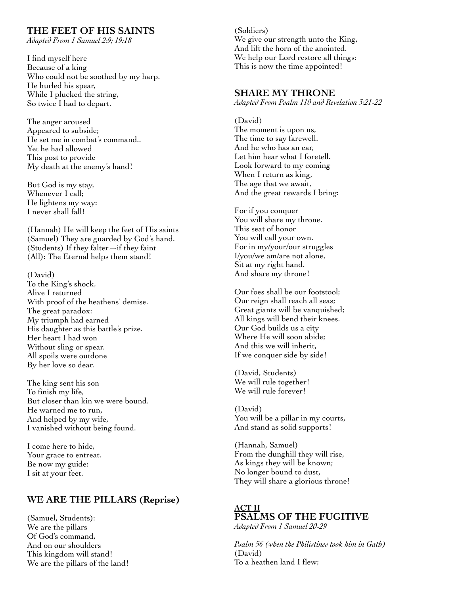## **THE FEET OF HIS SAINTS**

*Adapted From 1 Samuel 2:9; 19:18*

I find myself here Because of a king Who could not be soothed by my harp. He hurled his spear, While I plucked the string, So twice I had to depart.

The anger aroused Appeared to subside; He set me in combat's command.. Yet he had allowed This post to provide My death at the enemy's hand!

But God is my stay, Whenever I call; He lightens my way: I never shall fall!

(Hannah) He will keep the feet of His saints (Samuel) They are guarded by God's hand. (Students) If they falter—if they faint (All): The Eternal helps them stand!

(David) To the King's shock, Alive I returned With proof of the heathens' demise. The great paradox: My triumph had earned His daughter as this battle's prize. Her heart I had won Without sling or spear. All spoils were outdone By her love so dear.

The king sent his son To finish my life, But closer than kin we were bound. He warned me to run, And helped by my wife, I vanished without being found.

I come here to hide, Your grace to entreat. Be now my guide: I sit at your feet.

## **WE ARE THE PILLARS (Reprise)**

(Samuel, Students): We are the pillars Of God's command, And on our shoulders This kingdom will stand! We are the pillars of the land! (Soldiers) We give our strength unto the King, And lift the horn of the anointed. We help our Lord restore all things: This is now the time appointed!

## **SHARE MY THRONE**

*Adapted From Psalm 110 and Revelation 3:21-22*

(David) The moment is upon us, The time to say farewell. And he who has an ear, Let him hear what I foretell. Look forward to my coming When I return as king, The age that we await, And the great rewards I bring:

For if you conquer You will share my throne. This seat of honor You will call your own. For in my/your/our struggles I/you/we am/are not alone, Sit at my right hand. And share my throne!

Our foes shall be our footstool; Our reign shall reach all seas; Great giants will be vanquished; All kings will bend their knees. Our God builds us a city Where He will soon abide; And this we will inherit, If we conquer side by side!

(David, Students) We will rule together! We will rule forever!

(David) You will be a pillar in my courts, And stand as solid supports!

(Hannah, Samuel) From the dunghill they will rise, As kings they will be known; No longer bound to dust, They will share a glorious throne!

#### **ACT II PSALMS OF THE FUGITIVE** *Adapted From 1 Samuel 20-29*

*Psalm 56 (when the Philistines took him in Gath)* (David) To a heathen land I flew;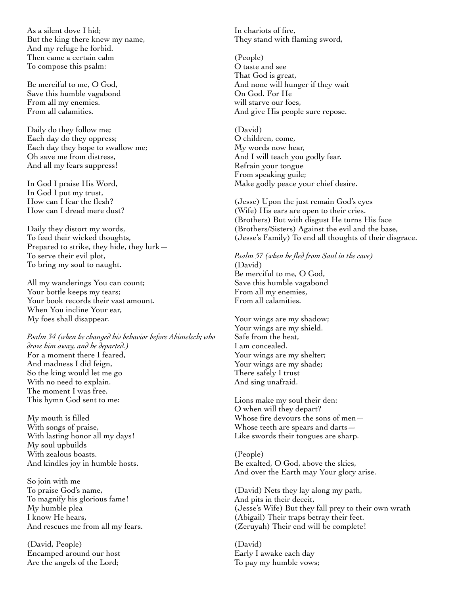As a silent dove I hid; But the king there knew my name, And my refuge he forbid. Then came a certain calm To compose this psalm:

Be merciful to me, O God, Save this humble vagabond From all my enemies. From all calamities.

Daily do they follow me; Each day do they oppress; Each day they hope to swallow me; Oh save me from distress, And all my fears suppress!

In God I praise His Word, In God I put my trust, How can I fear the flesh? How can I dread mere dust?

Daily they distort my words, To feed their wicked thoughts, Prepared to strike, they hide, they lurk— To serve their evil plot, To bring my soul to naught.

All my wanderings You can count; Your bottle keeps my tears; Your book records their vast amount. When You incline Your ear, My foes shall disappear.

*Psalm 34 (when he changed his behavior before Abimelech; who drove him away, and he departed.)* For a moment there I feared, And madness I did feign, So the king would let me go With no need to explain. The moment I was free, This hymn God sent to me:

My mouth is filled With songs of praise, With lasting honor all my days! My soul upbuilds With zealous boasts. And kindles joy in humble hosts.

So join with me To praise God's name, To magnify his glorious fame! My humble plea I know He hears, And rescues me from all my fears.

(David, People) Encamped around our host Are the angels of the Lord;

In chariots of fire, They stand with flaming sword,

(People) O taste and see That God is great, And none will hunger if they wait On God. For He will starve our foes, And give His people sure repose.

(David) O children, come, My words now hear, And I will teach you godly fear. Refrain your tongue From speaking guile; Make godly peace your chief desire.

(Jesse) Upon the just remain God's eyes (Wife) His ears are open to their cries. (Brothers) But with disgust He turns His face (Brothers/Sisters) Against the evil and the base, (Jesse's Family) To end all thoughts of their disgrace.

*Psalm 57 (when he fled from Saul in the cave)* (David) Be merciful to me, O God, Save this humble vagabond From all my enemies, From all calamities.

Your wings are my shadow; Your wings are my shield. Safe from the heat, I am concealed. Your wings are my shelter; Your wings are my shade; There safely I trust And sing unafraid.

Lions make my soul their den: O when will they depart? Whose fire devours the sons of men— Whose teeth are spears and darts— Like swords their tongues are sharp.

(People) Be exalted, O God, above the skies, And over the Earth may Your glory arise.

(David) Nets they lay along my path, And pits in their deceit, (Jesse's Wife) But they fall prey to their own wrath (Abigail) Their traps betray their feet. (Zeruyah) Their end will be complete!

(David) Early I awake each day To pay my humble vows;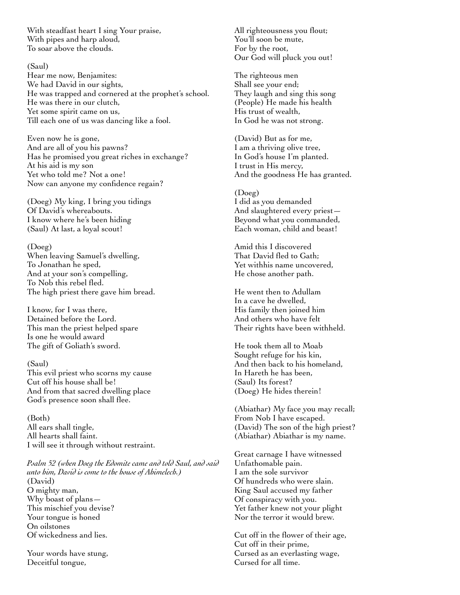With steadfast heart I sing Your praise, With pipes and harp aloud, To soar above the clouds.

#### (Saul)

Hear me now, Benjamites: We had David in our sights, He was trapped and cornered at the prophet's school. He was there in our clutch, Yet some spirit came on us, Till each one of us was dancing like a fool.

Even now he is gone, And are all of you his pawns? Has he promised you great riches in exchange? At his aid is my son Yet who told me? Not a one! Now can anyone my confidence regain?

(Doeg) My king, I bring you tidings Of David's whereabouts. I know where he's been hiding (Saul) At last, a loyal scout!

(Doeg) When leaving Samuel's dwelling, To Jonathan he sped, And at your son's compelling, To Nob this rebel fled. The high priest there gave him bread.

I know, for I was there, Detained before the Lord. This man the priest helped spare Is one he would award The gift of Goliath's sword.

(Saul) This evil priest who scorns my cause Cut off his house shall be! And from that sacred dwelling place God's presence soon shall flee.

(Both) All ears shall tingle, All hearts shall faint. I will see it through without restraint.

*Psalm 52 (when Doeg the Edomite came and told Saul, and said unto him, David is come to the house of Ahimelech.)* (David) O mighty man, Why boast of plans— This mischief you devise? Your tongue is honed On oilstones Of wickedness and lies.

Your words have stung, Deceitful tongue,

All righteousness you flout; You'll soon be mute, For by the root, Our God will pluck you out!

The righteous men Shall see your end; They laugh and sing this song (People) He made his health His trust of wealth, In God he was not strong.

(David) But as for me, I am a thriving olive tree, In God's house I'm planted. I trust in His mercy, And the goodness He has granted.

(Doeg) I did as you demanded And slaughtered every priest— Beyond what you commanded, Each woman, child and beast!

Amid this I discovered That David fled to Gath; Yet withhis name uncovered, He chose another path.

He went then to Adullam In a cave he dwelled, His family then joined him And others who have felt Their rights have been withheld.

He took them all to Moab Sought refuge for his kin, And then back to his homeland, In Hareth he has been, (Saul) Its forest? (Doeg) He hides therein!

(Abiathar) My face you may recall; From Nob I have escaped. (David) The son of the high priest? (Abiathar) Abiathar is my name.

Great carnage I have witnessed Unfathomable pain. I am the sole survivor Of hundreds who were slain. King Saul accused my father Of conspiracy with you. Yet father knew not your plight Nor the terror it would brew.

Cut off in the flower of their age, Cut off in their prime, Cursed as an everlasting wage, Cursed for all time.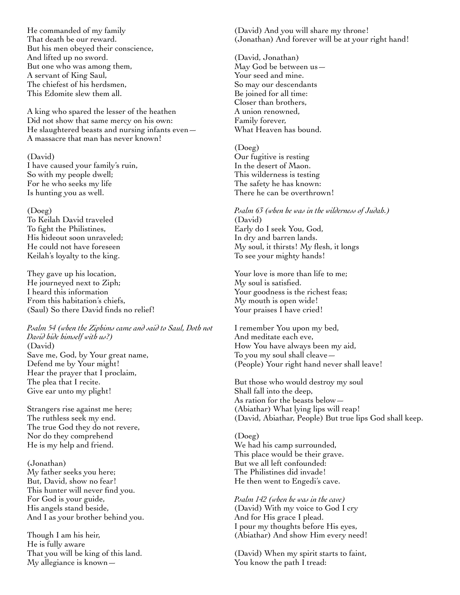He commanded of my family That death be our reward. But his men obeyed their conscience, And lifted up no sword. But one who was among them, A servant of King Saul, The chiefest of his herdsmen, This Edomite slew them all.

A king who spared the lesser of the heathen Did not show that same mercy on his own: He slaughtered beasts and nursing infants even— A massacre that man has never known!

#### (David)

I have caused your family's ruin, So with my people dwell; For he who seeks my life Is hunting you as well.

#### (Doeg)

To Keilah David traveled To fight the Philistines, His hideout soon unraveled; He could not have foreseen Keilah's loyalty to the king.

They gave up his location, He journeyed next to Ziph; I heard this information From this habitation's chiefs, (Saul) So there David finds no relief!

*Psalm 54 (when the Ziphims came and said to Saul, Doth not David hide himself with us?)* (David) Save me, God, by Your great name, Defend me by Your might! Hear the prayer that I proclaim, The plea that I recite. Give ear unto my plight!

Strangers rise against me here; The ruthless seek my end. The true God they do not revere, Nor do they comprehend He is my help and friend.

(Jonathan) My father seeks you here; But, David, show no fear! This hunter will never find you. For God is your guide, His angels stand beside, And I as your brother behind you.

Though I am his heir, He is fully aware That you will be king of this land. My allegiance is known(David) And you will share my throne! (Jonathan) And forever will be at your right hand!

(David, Jonathan) May God be between us— Your seed and mine. So may our descendants Be joined for all time: Closer than brothers, A union renowned, Family forever, What Heaven has bound.

#### (Doeg)

Our fugitive is resting In the desert of Maon. This wilderness is testing The safety he has known: There he can be overthrown!

*Psalm 63 (when he was in the wilderness of Judah.)* (David) Early do I seek You, God, In dry and barren lands. My soul, it thirsts! My flesh, it longs To see your mighty hands!

Your love is more than life to me; My soul is satisfied. Your goodness is the richest feas; My mouth is open wide! Your praises I have cried!

I remember You upon my bed, And meditate each eve, How You have always been my aid, To you my soul shall cleave— (People) Your right hand never shall leave!

But those who would destroy my soul Shall fall into the deep, As ration for the beasts below— (Abiathar) What lying lips will reap! (David, Abiathar, People) But true lips God shall keep.

(Doeg) We had his camp surrounded, This place would be their grave. But we all left confounded: The Philistines did invade! He then went to Engedi's cave.

*Psalm 142 (when he was in the cave)* (David) With my voice to God I cry And for His grace I plead. I pour my thoughts before His eyes, (Abiathar) And show Him every need!

(David) When my spirit starts to faint, You know the path I tread: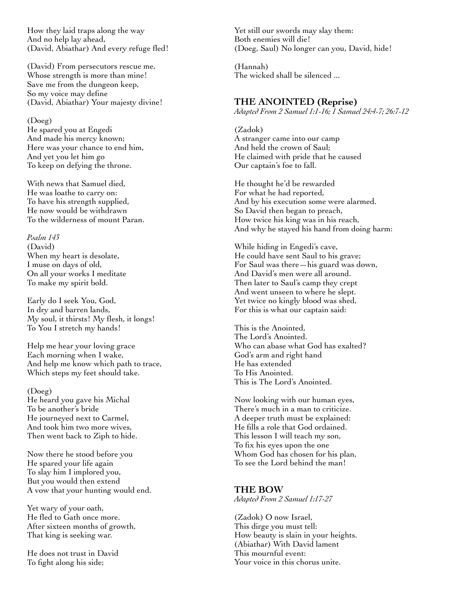How they laid traps along the way And no help lay ahead, (David, Abiathar) And every refuge fled!

(David) From persecutors rescue me, Whose strength is more than mine! Save me from the dungeon keep, So my voice may define (David, Abiathar) Your majesty divine!

#### (Doeg)

He spared you at Engedi And made his mercy known; Here was your chance to end him, And yet you let him go To keep on defying the throne.

With news that Samuel died, He was loathe to carry on: To have his strength supplied, He now would be withdrawn To the wilderness of mount Paran.

*Psalm 143* (David) When my heart is desolate, I muse on days of old, On all your works I meditate To make my spirit bold.

Early do I seek You, God, In dry and barren lands, My soul, it thirsts! My flesh, it longs! To You I stretch my hands!

Help me hear your loving grace Each morning when I wake, And help me know which path to trace, Which steps my feet should take.

#### (Doeg)

He heard you gave his Michal To be another's bride He journeyed next to Carmel, And took him two more wives, Then went back to Ziph to hide.

Now there he stood before you He spared your life again To slay him I implored you, But you would then extend A vow that your hunting would end.

Yet wary of your oath, He fled to Gath once more. After sixteen months of growth, That king is seeking war.

He does not trust in David To fight along his side;

Yet still our swords may slay them: Both enemies will die! (Doeg, Saul) No longer can you, David, hide!

(Hannah) The wicked shall be silenced ...

#### **THE ANOINTED (Reprise)**

*Adapted From 2 Samuel 1:1-16; 1 Samuel 24:4-7; 26:7-12*

(Zadok) A stranger came into our camp And held the crown of Saul; He claimed with pride that he caused Our captain's foe to fall.

He thought he'd be rewarded For what he had reported, And by his execution some were alarmed. So David then began to preach, How twice his king was in his reach, And why he stayed his hand from doing harm:

While hiding in Engedi's cave, He could have sent Saul to his grave; For Saul was there—his guard was down, And David's men were all around. Then later to Saul's camp they crept And went unseen to where he slept. Yet twice no kingly blood was shed, For this is what our captain said:

This is the Anointed, The Lord's Anointed. Who can abase what God has exalted? God's arm and right hand He has extended To His Anointed. This is The Lord's Anointed.

Now looking with our human eyes, There's much in a man to criticize. A deeper truth must be explained: He fills a role that God ordained. This lesson I will teach my son, To fix his eyes upon the one Whom God has chosen for his plan, To see the Lord behind the man!

#### **THE BOW**

*Adapted From 2 Samuel 1:17-27*

(Zadok) O now Israel, This dirge you must tell: How beauty is slain in your heights. (Abiathar) With David lament This mournful event: Your voice in this chorus unite.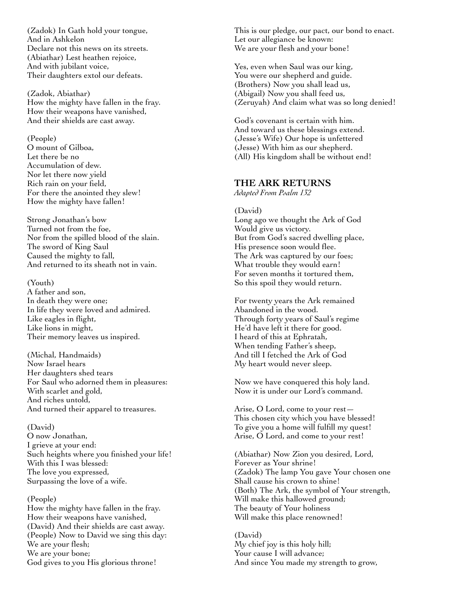(Zadok) In Gath hold your tongue, And in Ashkelon Declare not this news on its streets. (Abiathar) Lest heathen rejoice, And with jubilant voice, Their daughters extol our defeats.

(Zadok, Abiathar) How the mighty have fallen in the fray. How their weapons have vanished, And their shields are cast away.

(People)

O mount of Gilboa, Let there be no Accumulation of dew. Nor let there now yield Rich rain on your field, For there the anointed they slew! How the mighty have fallen!

Strong Jonathan's bow Turned not from the foe, Nor from the spilled blood of the slain. The sword of King Saul Caused the mighty to fall, And returned to its sheath not in vain.

(Youth) A father and son, In death they were one; In life they were loved and admired. Like eagles in flight, Like lions in might, Their memory leaves us inspired.

(Michal, Handmaids) Now Israel hears Her daughters shed tears For Saul who adorned them in pleasures: With scarlet and gold, And riches untold, And turned their apparel to treasures.

(David) O now Jonathan, I grieve at your end: Such heights where you finished your life! With this I was blessed: The love you expressed, Surpassing the love of a wife.

(People) How the mighty have fallen in the fray. How their weapons have vanished, (David) And their shields are cast away. (People) Now to David we sing this day: We are your flesh; We are your bone; God gives to you His glorious throne!

This is our pledge, our pact, our bond to enact. Let our allegiance be known: We are your flesh and your bone!

Yes, even when Saul was our king, You were our shepherd and guide. (Brothers) Now you shall lead us, (Abigail) Now you shall feed us, (Zeruyah) And claim what was so long denied!

God's covenant is certain with him. And toward us these blessings extend. (Jesse's Wife) Our hope is unfettered (Jesse) With him as our shepherd. (All) His kingdom shall be without end!

## **THE ARK RETURNS**

*Adapted From Psalm 132*

(David) Long ago we thought the Ark of God Would give us victory. But from God's sacred dwelling place, His presence soon would flee. The Ark was captured by our foes; What trouble they would earn! For seven months it tortured them, So this spoil they would return.

For twenty years the Ark remained Abandoned in the wood. Through forty years of Saul's regime He'd have left it there for good. I heard of this at Ephratah, When tending Father's sheep, And till I fetched the Ark of God My heart would never sleep.

Now we have conquered this holy land. Now it is under our Lord's command.

Arise, O Lord, come to your rest— This chosen city which you have blessed! To give you a home will fulfill my quest! Arise, O Lord, and come to your rest!

(Abiathar) Now Zion you desired, Lord, Forever as Your shrine! (Zadok) The lamp You gave Your chosen one Shall cause his crown to shine! (Both) The Ark, the symbol of Your strength, Will make this hallowed ground; The beauty of Your holiness Will make this place renowned!

(David) My chief joy is this holy hill; Your cause I will advance; And since You made my strength to grow,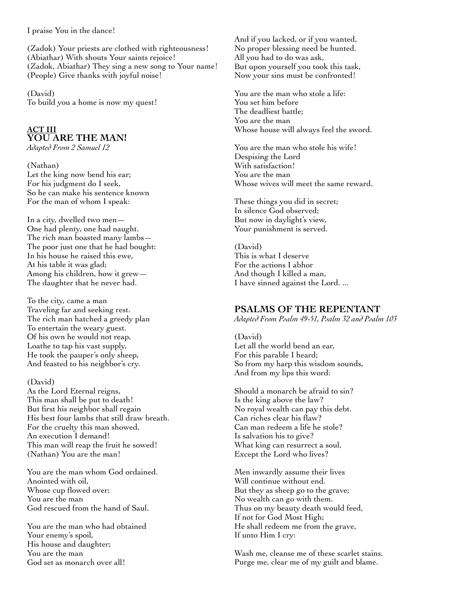I praise You in the dance!

(Zadok) Your priests are clothed with righteousness! (Abiathar) With shouts Your saints rejoice! (Zadok, Abiathar) They sing a new song to Your name! (People) Give thanks with joyful noise!

(David) To build you a home is now my quest!

## **ACT III YOU ARE THE MAN!**

*Adapted From 2 Samuel 12*

(Nathan) Let the king now bend his ear; For his judgment do I seek, So he can make his sentence known For the man of whom I speak:

In a city, dwelled two men— One had plenty, one had naught. The rich man boasted many lambs— The poor just one that he had bought: In his house he raised this ewe, At his table it was glad; Among his children, how it grew— The daughter that he never had.

To the city, came a man Traveling far and seeking rest. The rich man hatched a greedy plan To entertain the weary guest. Of his own he would not reap, Loathe to tap his vast supply, He took the pauper's only sheep, And feasted to his neighbor's cry.

(David)

As the Lord Eternal reigns, This man shall be put to death! But first his neighbor shall regain His best four lambs that still draw breath. For the cruelty this man showed, An execution I demand! This man will reap the fruit he sowed! (Nathan) You are the man!

You are the man whom God ordained. Anointed with oil, Whose cup flowed over; You are the man God rescued from the hand of Saul.

You are the man who had obtained Your enemy's spoil, His house and daughter; You are the man God set as monarch over all!

And if you lacked, or if you wanted, No proper blessing need be hunted. All you had to do was ask, But upon yourself you took this task, Now your sins must be confronted!

You are the man who stole a life: You set him before The deadliest battle; You are the man Whose house will always feel the sword.

You are the man who stole his wife! Despising the Lord With satisfaction! You are the man Whose wives will meet the same reward.

These things you did in secret; In silence God observed; But now in daylight's view, Your punishment is served.

(David) This is what I deserve For the actions I abhor And though I killed a man, I have sinned against the Lord. ...

## **PSALMS OF THE REPENTANT**

*Adapted From Psalm 49-51, Psalm 32 and Psalm 103*

(David) Let all the world bend an ear, For this parable I heard; So from my harp this wisdom sounds, And from my lips this word:

Should a monarch be afraid to sin? Is the king above the law? No royal wealth can pay this debt. Can riches clear his flaw? Can man redeem a life he stole? Is salvation his to give? What king can resurrect a soul, Except the Lord who lives?

Men inwardly assume their lives Will continue without end. But they as sheep go to the grave; No wealth can go with them. Thus on my beauty death would feed, If not for God Most High; He shall redeem me from the grave, If unto Him I cry:

Wash me, cleanse me of these scarlet stains. Purge me, clear me of my guilt and blame.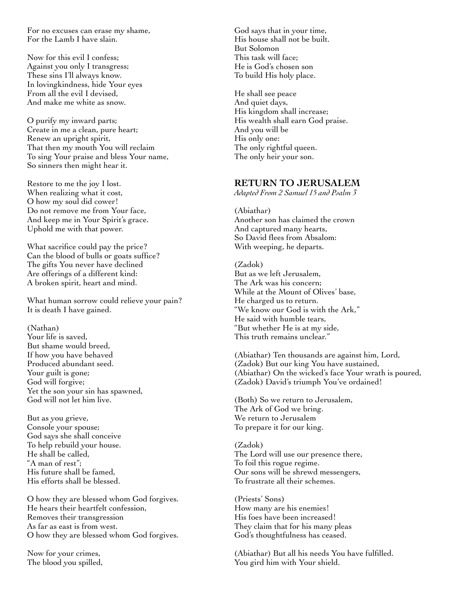For no excuses can erase my shame, For the Lamb I have slain.

Now for this evil I confess; Against you only I transgress; These sins I'll always know. In lovingkindness, hide Your eyes From all the evil I devised, And make me white as snow.

O purify my inward parts; Create in me a clean, pure heart; Renew an upright spirit, That then my mouth You will reclaim To sing Your praise and bless Your name, So sinners then might hear it.

Restore to me the joy I lost. When realizing what it cost, O how my soul did cower! Do not remove me from Your face, And keep me in Your Spirit's grace. Uphold me with that power.

What sacrifice could pay the price? Can the blood of bulls or goats suffice? The gifts You never have declined Are offerings of a different kind: A broken spirit, heart and mind.

What human sorrow could relieve your pain? It is death I have gained.

(Nathan) Your life is saved, But shame would breed, If how you have behaved Produced abundant seed. Your guilt is gone; God will forgive; Yet the son your sin has spawned, God will not let him live.

But as you grieve, Console your spouse; God says she shall conceive To help rebuild your house. He shall be called, "A man of rest"; His future shall be famed, His efforts shall be blessed.

O how they are blessed whom God forgives. He hears their heartfelt confession, Removes their transgression As far as east is from west. O how they are blessed whom God forgives.

Now for your crimes, The blood you spilled,

God says that in your time, His house shall not be built. But Solomon This task will face; He is God's chosen son To build His holy place.

He shall see peace And quiet days, His kingdom shall increase; His wealth shall earn God praise. And you will be His only one: The only rightful queen. The only heir your son.

## **RETURN TO JERUSALEM**

*Adapted From 2 Samuel 15 and Psalm 3*

(Abiathar) Another son has claimed the crown And captured many hearts, So David flees from Absalom: With weeping, he departs.

(Zadok) But as we left Jerusalem, The Ark was his concern; While at the Mount of Olives' base, He charged us to return. "We know our God is with the Ark," He said with humble tears, "But whether He is at my side, This truth remains unclear."

(Abiathar) Ten thousands are against him, Lord, (Zadok) But our king You have sustained, (Abiathar) On the wicked's face Your wrath is poured, (Zadok) David's triumph You've ordained!

(Both) So we return to Jerusalem, The Ark of God we bring. We return to Jerusalem To prepare it for our king.

(Zadok) The Lord will use our presence there, To foil this rogue regime. Our sons will be shrewd messengers, To frustrate all their schemes.

(Priests' Sons) How many are his enemies! His foes have been increased! They claim that for his many pleas God's thoughtfulness has ceased.

(Abiathar) But all his needs You have fulfilled. You gird him with Your shield.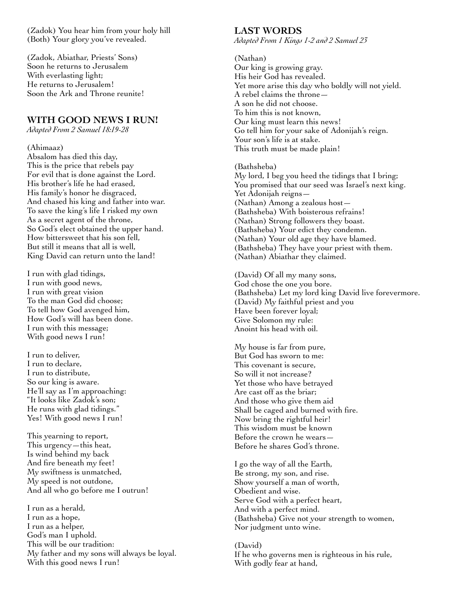(Zadok) You hear him from your holy hill (Both) Your glory you've revealed.

(Zadok, Abiathar, Priests' Sons) Soon he returns to Jerusalem With everlasting light; He returns to Jerusalem! Soon the Ark and Throne reunite!

## **WITH GOOD NEWS I RUN!**

*Adapted From 2 Samuel 18:19-28*

#### (Ahimaaz)

Absalom has died this day, This is the price that rebels pay For evil that is done against the Lord. His brother's life he had erased, His family's honor he disgraced, And chased his king and father into war. To save the king's life I risked my own As a secret agent of the throne, So God's elect obtained the upper hand. How bittersweet that his son fell. But still it means that all is well, King David can return unto the land!

I run with glad tidings, I run with good news, I run with great vision To the man God did choose; To tell how God avenged him, How God's will has been done. I run with this message; With good news I run!

I run to deliver, I run to declare, I run to distribute, So our king is aware. He'll say as I'm approaching: "It looks like Zadok's son; He runs with glad tidings." Yes! With good news I run!

This yearning to report, This urgency—this heat, Is wind behind my back And fire beneath my feet! My swiftness is unmatched, My speed is not outdone, And all who go before me I outrun!

I run as a herald, I run as a hope, I run as a helper, God's man I uphold. This will be our tradition: My father and my sons will always be loyal. With this good news I run!

#### **LAST WORDS**

*Adapted From 1 Kings 1-2 and 2 Samuel 23*

(Nathan) Our king is growing gray. His heir God has revealed. Yet more arise this day who boldly will not yield. A rebel claims the throne— A son he did not choose. To him this is not known, Our king must learn this news! Go tell him for your sake of Adonijah's reign. Your son's life is at stake. This truth must be made plain!

#### (Bathsheba)

My lord, I beg you heed the tidings that I bring; You promised that our seed was Israel's next king. Yet Adonijah reigns— (Nathan) Among a zealous host— (Bathsheba) With boisterous refrains! (Nathan) Strong followers they boast. (Bathsheba) Your edict they condemn. (Nathan) Your old age they have blamed. (Bathsheba) They have your priest with them. (Nathan) Abiathar they claimed.

(David) Of all my many sons, God chose the one you bore. (Bathsheba) Let my lord king David live forevermore. (David) My faithful priest and you Have been forever loyal; Give Solomon my rule: Anoint his head with oil.

My house is far from pure, But God has sworn to me: This covenant is secure, So will it not increase? Yet those who have betrayed Are cast off as the briar; And those who give them aid Shall be caged and burned with fire. Now bring the rightful heir! This wisdom must be known Before the crown he wears— Before he shares God's throne.

I go the way of all the Earth, Be strong, my son, and rise. Show yourself a man of worth, Obedient and wise. Serve God with a perfect heart, And with a perfect mind. (Bathsheba) Give not your strength to women, Nor judgment unto wine.

(David) If he who governs men is righteous in his rule, With godly fear at hand,